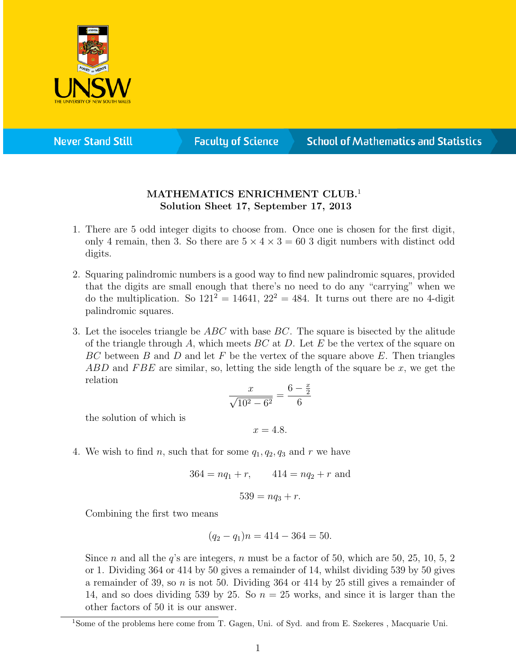

**Never Stand Still** 

**Faculty of Science** 

## **School of Mathematics and Statistics**

## MATHEMATICS ENRICHMENT CLUB.<sup>1</sup> Solution Sheet 17, September 17, 2013

- 1. There are 5 odd integer digits to choose from. Once one is chosen for the first digit, only 4 remain, then 3. So there are  $5 \times 4 \times 3 = 60$  3 digit numbers with distinct odd digits.
- 2. Squaring palindromic numbers is a good way to find new palindromic squares, provided that the digits are small enough that there's no need to do any "carrying" when we do the multiplication. So  $121^2 = 14641$ ,  $22^2 = 484$ . It turns out there are no 4-digit palindromic squares.
- 3. Let the isoceles triangle be  $ABC$  with base  $BC$ . The square is bisected by the alitude of the triangle through A, which meets  $BC$  at D. Let E be the vertex of the square on  $BC$  between B and D and let F be the vertex of the square above E. Then triangles ABD and FBE are similar, so, letting the side length of the square be x, we get the relation  $\overline{x}$

$$
\frac{x}{\sqrt{10^2 - 6^2}} = \frac{6 - \frac{x}{2}}{6}
$$

the solution of which is

 $x = 4.8.$ 

4. We wish to find n, such that for some  $q_1, q_2, q_3$  and r we have

$$
364 = nq_1 + r, \qquad 414 = nq_2 + r \text{ and}
$$

$$
539 = nq_3 + r.
$$

Combining the first two means

$$
(q_2 - q_1)n = 414 - 364 = 50.
$$

Since n and all the q's are integers, n must be a factor of 50, which are 50, 25, 10, 5, 2 or 1. Dividing 364 or 414 by 50 gives a remainder of 14, whilst dividing 539 by 50 gives a remainder of 39, so n is not 50. Dividing 364 or 414 by 25 still gives a remainder of 14, and so does dividing 539 by 25. So  $n = 25$  works, and since it is larger than the other factors of 50 it is our answer.

<sup>1</sup>Some of the problems here come from T. Gagen, Uni. of Syd. and from E. Szekeres , Macquarie Uni.